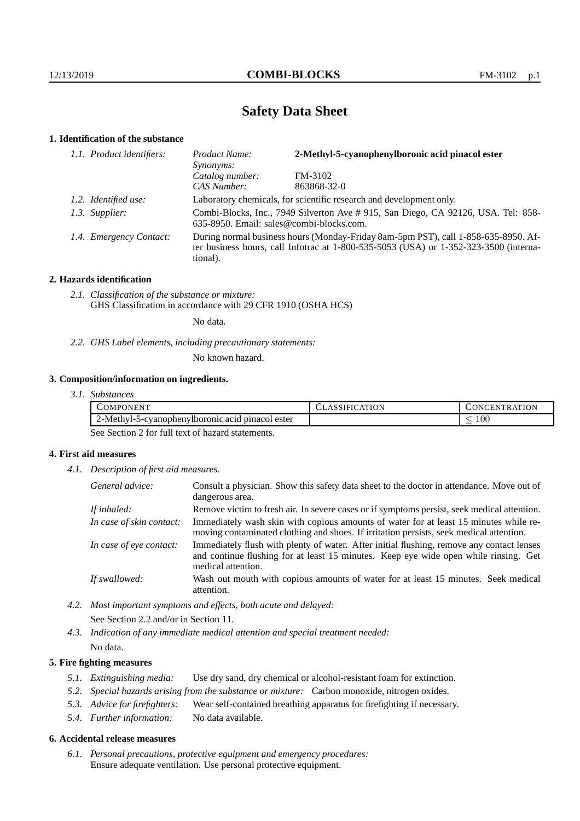# **Safety Data Sheet**

## **1. Identification of the substance**

| 1.1. Product identifiers: | Product Name:<br>Synonyms:                                                                                                                                                              | 2-Methyl-5-cyanophenylboronic acid pinacol ester |  |
|---------------------------|-----------------------------------------------------------------------------------------------------------------------------------------------------------------------------------------|--------------------------------------------------|--|
|                           | Catalog number:                                                                                                                                                                         | FM-3102                                          |  |
|                           | CAS Number:                                                                                                                                                                             | 863868-32-0                                      |  |
| 1.2. Identified use:      | Laboratory chemicals, for scientific research and development only.                                                                                                                     |                                                  |  |
| 1.3. Supplier:            | Combi-Blocks, Inc., 7949 Silverton Ave # 915, San Diego, CA 92126, USA. Tel: 858-<br>635-8950. Email: sales@combi-blocks.com.                                                           |                                                  |  |
| 1.4. Emergency Contact:   | During normal business hours (Monday-Friday 8am-5pm PST), call 1-858-635-8950. Af-<br>ter business hours, call Infotrac at 1-800-535-5053 (USA) or 1-352-323-3500 (interna-<br>tional). |                                                  |  |

### **2. Hazards identification**

*2.1. Classification of the substance or mixture:* GHS Classification in accordance with 29 CFR 1910 (OSHA HCS)

No data.

*2.2. GHS Label elements, including precautionary statements:*

No known hazard.

## **3. Composition/information on ingredients.**

*3.1. Substances*

| . <del>.</del><br>COMPC<br>ONEN'                                              | T. | <b>ATION</b><br>. . E.N<br>TR.<br><b>INI</b><br>$\sim$ |
|-------------------------------------------------------------------------------|----|--------------------------------------------------------|
| $2$ -Methyl- $\sim$<br>-cyanophenylboromic acid<br>. pinacol ester<br>$1 - 1$ |    | $100\,$<br>_                                           |

See Section 2 for full text of hazard statements.

### **4. First aid measures**

*4.1. Description of first aid measures.*

| General advice:          | Consult a physician. Show this safety data sheet to the doctor in attendance. Move out of<br>dangerous area.                                                                                            |
|--------------------------|---------------------------------------------------------------------------------------------------------------------------------------------------------------------------------------------------------|
| If inhaled:              | Remove victim to fresh air. In severe cases or if symptoms persist, seek medical attention.                                                                                                             |
| In case of skin contact: | Immediately wash skin with copious amounts of water for at least 15 minutes while re-<br>moving contaminated clothing and shoes. If irritation persists, seek medical attention.                        |
| In case of eye contact:  | Immediately flush with plenty of water. After initial flushing, remove any contact lenses<br>and continue flushing for at least 15 minutes. Keep eye wide open while rinsing. Get<br>medical attention. |
| If swallowed:            | Wash out mouth with copious amounts of water for at least 15 minutes. Seek medical<br>attention.                                                                                                        |

*4.2. Most important symptoms and effects, both acute and delayed:* See Section 2.2 and/or in Section 11.

*4.3. Indication of any immediate medical attention and special treatment needed:* No data.

## **5. Fire fighting measures**

- *5.1. Extinguishing media:* Use dry sand, dry chemical or alcohol-resistant foam for extinction.
- *5.2. Special hazards arising from the substance or mixture:* Carbon monoxide, nitrogen oxides.
- *5.3. Advice for firefighters:* Wear self-contained breathing apparatus for firefighting if necessary.
- *5.4. Further information:* No data available.

### **6. Accidental release measures**

*6.1. Personal precautions, protective equipment and emergency procedures:* Ensure adequate ventilation. Use personal protective equipment.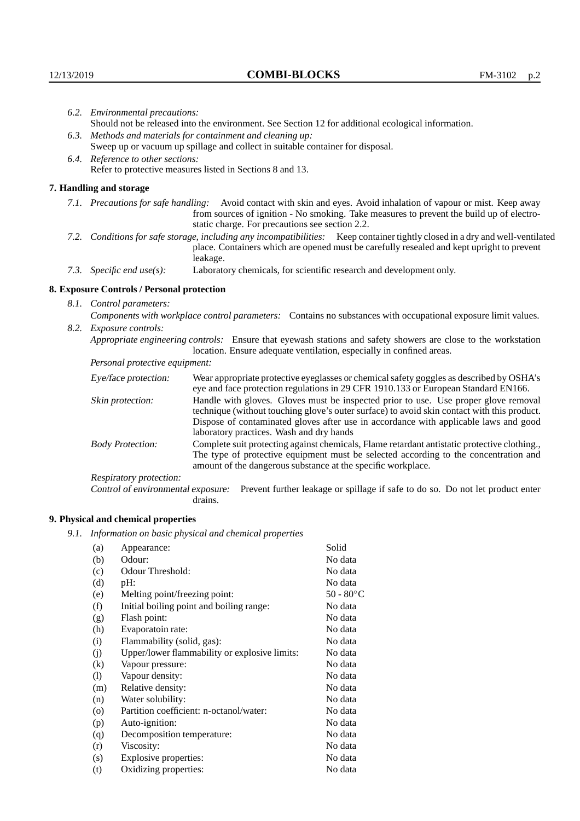|                          | 6.2. Environmental precautions:                                                                                                                                                                                                                                    |                                                                                                                                                                                                                                                                                                                        |  |  |
|--------------------------|--------------------------------------------------------------------------------------------------------------------------------------------------------------------------------------------------------------------------------------------------------------------|------------------------------------------------------------------------------------------------------------------------------------------------------------------------------------------------------------------------------------------------------------------------------------------------------------------------|--|--|
|                          | Should not be released into the environment. See Section 12 for additional ecological information.                                                                                                                                                                 |                                                                                                                                                                                                                                                                                                                        |  |  |
|                          | 6.3. Methods and materials for containment and cleaning up:                                                                                                                                                                                                        |                                                                                                                                                                                                                                                                                                                        |  |  |
|                          | Sweep up or vacuum up spillage and collect in suitable container for disposal.                                                                                                                                                                                     |                                                                                                                                                                                                                                                                                                                        |  |  |
|                          | 6.4. Reference to other sections:                                                                                                                                                                                                                                  |                                                                                                                                                                                                                                                                                                                        |  |  |
|                          | Refer to protective measures listed in Sections 8 and 13.                                                                                                                                                                                                          |                                                                                                                                                                                                                                                                                                                        |  |  |
|                          | 7. Handling and storage                                                                                                                                                                                                                                            |                                                                                                                                                                                                                                                                                                                        |  |  |
|                          | 7.1. Precautions for safe handling: Avoid contact with skin and eyes. Avoid inhalation of vapour or mist. Keep away<br>from sources of ignition - No smoking. Take measures to prevent the build up of electro-<br>static charge. For precautions see section 2.2. |                                                                                                                                                                                                                                                                                                                        |  |  |
|                          |                                                                                                                                                                                                                                                                    | 7.2. Conditions for safe storage, including any incompatibilities: Keep container tightly closed in a dry and well-ventilated<br>place. Containers which are opened must be carefully resealed and kept upright to prevent<br>leakage.                                                                                 |  |  |
|                          | 7.3. Specific end use(s):                                                                                                                                                                                                                                          | Laboratory chemicals, for scientific research and development only.                                                                                                                                                                                                                                                    |  |  |
|                          | 8. Exposure Controls / Personal protection                                                                                                                                                                                                                         |                                                                                                                                                                                                                                                                                                                        |  |  |
| 8.1. Control parameters: |                                                                                                                                                                                                                                                                    |                                                                                                                                                                                                                                                                                                                        |  |  |
|                          | Components with workplace control parameters: Contains no substances with occupational exposure limit values.                                                                                                                                                      |                                                                                                                                                                                                                                                                                                                        |  |  |
|                          | 8.2. Exposure controls:                                                                                                                                                                                                                                            |                                                                                                                                                                                                                                                                                                                        |  |  |
|                          |                                                                                                                                                                                                                                                                    | Appropriate engineering controls: Ensure that eyewash stations and safety showers are close to the workstation<br>location. Ensure adequate ventilation, especially in confined areas.                                                                                                                                 |  |  |
|                          | Personal protective equipment:                                                                                                                                                                                                                                     |                                                                                                                                                                                                                                                                                                                        |  |  |
|                          | Eye/face protection:                                                                                                                                                                                                                                               | Wear appropriate protective eyeglasses or chemical safety goggles as described by OSHA's<br>eye and face protection regulations in 29 CFR 1910.133 or European Standard EN166.                                                                                                                                         |  |  |
|                          | Skin protection:                                                                                                                                                                                                                                                   | Handle with gloves. Gloves must be inspected prior to use. Use proper glove removal<br>technique (without touching glove's outer surface) to avoid skin contact with this product.<br>Dispose of contaminated gloves after use in accordance with applicable laws and good<br>laboratory practices. Wash and dry hands |  |  |
|                          | <b>Body Protection:</b>                                                                                                                                                                                                                                            | Complete suit protecting against chemicals, Flame retardant antistatic protective clothing.,<br>The type of protective equipment must be selected according to the concentration and<br>amount of the dangerous substance at the specific workplace.                                                                   |  |  |
|                          | Respiratory protection:                                                                                                                                                                                                                                            |                                                                                                                                                                                                                                                                                                                        |  |  |

Control of environmental exposure: Prevent further leakage or spillage if safe to do so. Do not let product enter drains.

# **9. Physical and chemical properties**

*9.1. Information on basic physical and chemical properties*

| (a)                        | Appearance:                                   | Solid     |
|----------------------------|-----------------------------------------------|-----------|
|                            | Odour:                                        | No data   |
| (b)                        |                                               |           |
| (c)                        | Odour Threshold:                              | No data   |
| (d)                        | pH:                                           | No data   |
| (e)                        | Melting point/freezing point:                 | 50 - 80°C |
| (f)                        | Initial boiling point and boiling range:      | No data   |
| (g)                        | Flash point:                                  | No data   |
| (h)                        | Evaporatoin rate:                             | No data   |
| (i)                        | Flammability (solid, gas):                    | No data   |
| (j)                        | Upper/lower flammability or explosive limits: | No data   |
| (k)                        | Vapour pressure:                              | No data   |
| $\left( \mathrm{l}\right)$ | Vapour density:                               | No data   |
| (m)                        | Relative density:                             | No data   |
| (n)                        | Water solubility:                             | No data   |
| $\rm (o)$                  | Partition coefficient: n-octanol/water:       | No data   |
| (p)                        | Auto-ignition:                                | No data   |
| (q)                        | Decomposition temperature:                    | No data   |
| (r)                        | Viscosity:                                    | No data   |
| (s)                        | Explosive properties:                         | No data   |
| (t)                        | Oxidizing properties:                         | No data   |